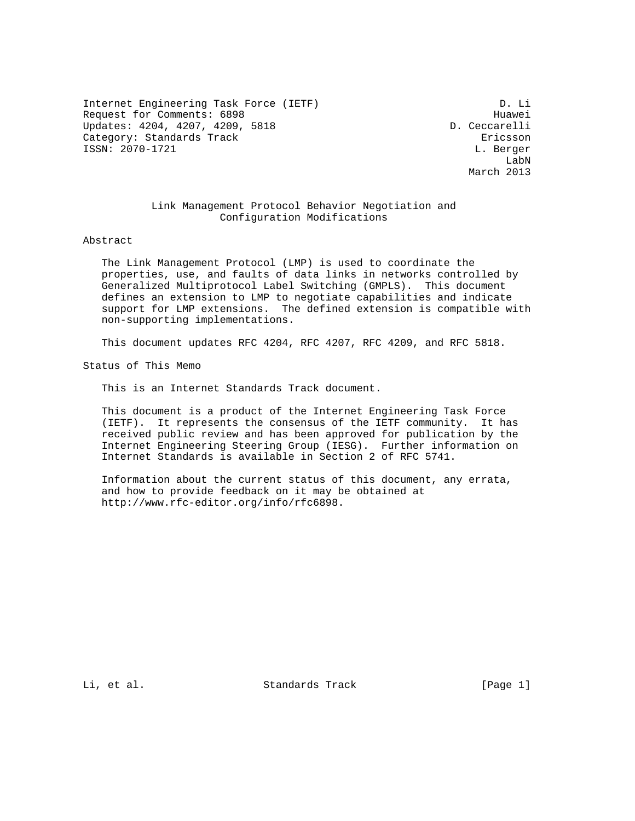Internet Engineering Task Force (IETF) D. Li Request for Comments: 6898 Huawei Updates: 4204, 4207, 4209, 5818 D. Ceccarelli Category: Standards Track Ericsson ISSN: 2070-1721 L. Berger

 LabN March 2013

### Link Management Protocol Behavior Negotiation and Configuration Modifications

Abstract

 The Link Management Protocol (LMP) is used to coordinate the properties, use, and faults of data links in networks controlled by Generalized Multiprotocol Label Switching (GMPLS). This document defines an extension to LMP to negotiate capabilities and indicate support for LMP extensions. The defined extension is compatible with non-supporting implementations.

This document updates RFC 4204, RFC 4207, RFC 4209, and RFC 5818.

Status of This Memo

This is an Internet Standards Track document.

 This document is a product of the Internet Engineering Task Force (IETF). It represents the consensus of the IETF community. It has received public review and has been approved for publication by the Internet Engineering Steering Group (IESG). Further information on Internet Standards is available in Section 2 of RFC 5741.

 Information about the current status of this document, any errata, and how to provide feedback on it may be obtained at http://www.rfc-editor.org/info/rfc6898.

Li, et al. Standards Track [Page 1]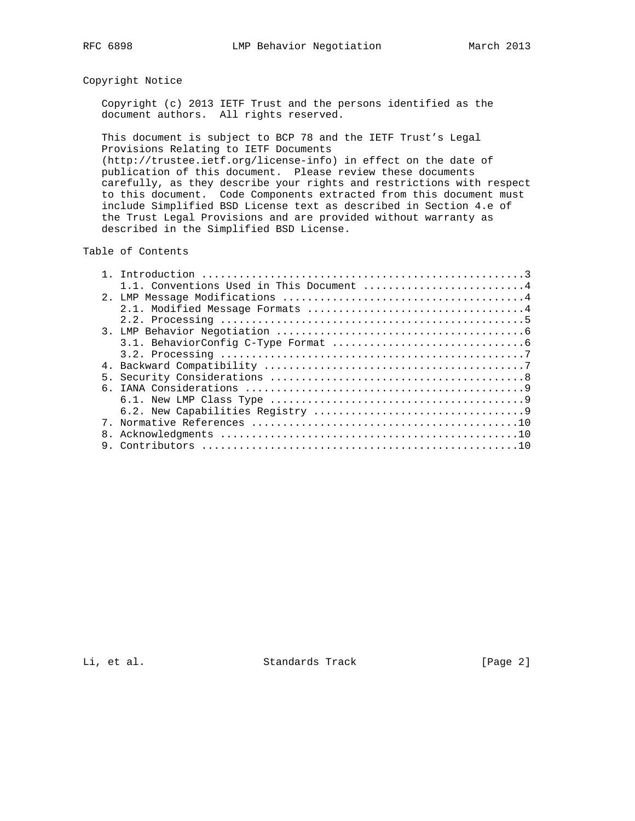# Copyright Notice

 Copyright (c) 2013 IETF Trust and the persons identified as the document authors. All rights reserved.

 This document is subject to BCP 78 and the IETF Trust's Legal Provisions Relating to IETF Documents (http://trustee.ietf.org/license-info) in effect on the date of publication of this document. Please review these documents

 carefully, as they describe your rights and restrictions with respect to this document. Code Components extracted from this document must include Simplified BSD License text as described in Section 4.e of the Trust Legal Provisions and are provided without warranty as described in the Simplified BSD License.

### Table of Contents

|                | 1.1. Conventions Used in This Document 4 |
|----------------|------------------------------------------|
|                |                                          |
|                |                                          |
|                |                                          |
|                |                                          |
|                |                                          |
|                |                                          |
|                |                                          |
| 5 <sub>1</sub> |                                          |
|                |                                          |
|                |                                          |
|                |                                          |
|                |                                          |
|                |                                          |
|                |                                          |

Li, et al. Standards Track [Page 2]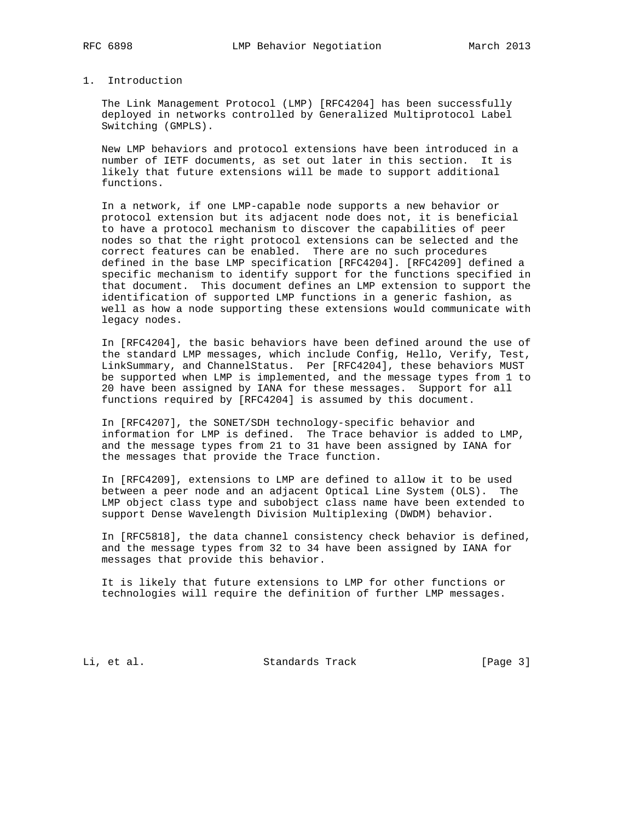## 1. Introduction

 The Link Management Protocol (LMP) [RFC4204] has been successfully deployed in networks controlled by Generalized Multiprotocol Label Switching (GMPLS).

 New LMP behaviors and protocol extensions have been introduced in a number of IETF documents, as set out later in this section. It is likely that future extensions will be made to support additional functions.

 In a network, if one LMP-capable node supports a new behavior or protocol extension but its adjacent node does not, it is beneficial to have a protocol mechanism to discover the capabilities of peer nodes so that the right protocol extensions can be selected and the correct features can be enabled. There are no such procedures defined in the base LMP specification [RFC4204]. [RFC4209] defined a specific mechanism to identify support for the functions specified in that document. This document defines an LMP extension to support the identification of supported LMP functions in a generic fashion, as well as how a node supporting these extensions would communicate with legacy nodes.

 In [RFC4204], the basic behaviors have been defined around the use of the standard LMP messages, which include Config, Hello, Verify, Test, LinkSummary, and ChannelStatus. Per [RFC4204], these behaviors MUST be supported when LMP is implemented, and the message types from 1 to 20 have been assigned by IANA for these messages. Support for all functions required by [RFC4204] is assumed by this document.

 In [RFC4207], the SONET/SDH technology-specific behavior and information for LMP is defined. The Trace behavior is added to LMP, and the message types from 21 to 31 have been assigned by IANA for the messages that provide the Trace function.

 In [RFC4209], extensions to LMP are defined to allow it to be used between a peer node and an adjacent Optical Line System (OLS). The LMP object class type and subobject class name have been extended to support Dense Wavelength Division Multiplexing (DWDM) behavior.

 In [RFC5818], the data channel consistency check behavior is defined, and the message types from 32 to 34 have been assigned by IANA for messages that provide this behavior.

 It is likely that future extensions to LMP for other functions or technologies will require the definition of further LMP messages.

Li, et al. Standards Track [Page 3]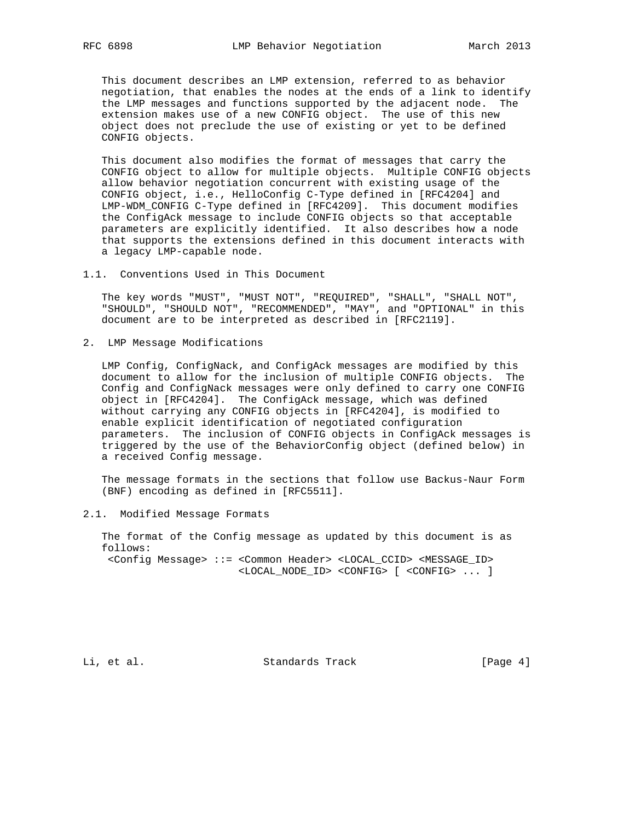This document describes an LMP extension, referred to as behavior negotiation, that enables the nodes at the ends of a link to identify the LMP messages and functions supported by the adjacent node. The extension makes use of a new CONFIG object. The use of this new object does not preclude the use of existing or yet to be defined CONFIG objects.

 This document also modifies the format of messages that carry the CONFIG object to allow for multiple objects. Multiple CONFIG objects allow behavior negotiation concurrent with existing usage of the CONFIG object, i.e., HelloConfig C-Type defined in [RFC4204] and LMP-WDM\_CONFIG C-Type defined in [RFC4209]. This document modifies the ConfigAck message to include CONFIG objects so that acceptable parameters are explicitly identified. It also describes how a node that supports the extensions defined in this document interacts with a legacy LMP-capable node.

1.1. Conventions Used in This Document

 The key words "MUST", "MUST NOT", "REQUIRED", "SHALL", "SHALL NOT", "SHOULD", "SHOULD NOT", "RECOMMENDED", "MAY", and "OPTIONAL" in this document are to be interpreted as described in [RFC2119].

2. LMP Message Modifications

 LMP Config, ConfigNack, and ConfigAck messages are modified by this document to allow for the inclusion of multiple CONFIG objects. The Config and ConfigNack messages were only defined to carry one CONFIG object in [RFC4204]. The ConfigAck message, which was defined without carrying any CONFIG objects in [RFC4204], is modified to enable explicit identification of negotiated configuration parameters. The inclusion of CONFIG objects in ConfigAck messages is triggered by the use of the BehaviorConfig object (defined below) in a received Config message.

 The message formats in the sections that follow use Backus-Naur Form (BNF) encoding as defined in [RFC5511].

2.1. Modified Message Formats

 The format of the Config message as updated by this document is as follows: <Config Message> ::= <Common Header> <LOCAL\_CCID> <MESSAGE\_ID> <LOCAL\_NODE\_ID> <CONFIG> [ <CONFIG> ... ]

Li, et al. Standards Track [Page 4]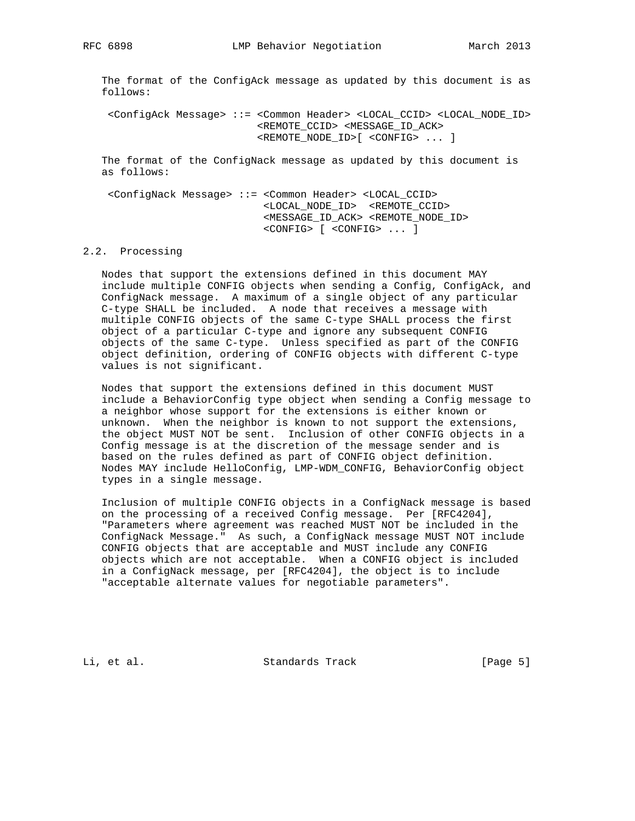The format of the ConfigAck message as updated by this document is as follows:

 <ConfigAck Message> ::= <Common Header> <LOCAL\_CCID> <LOCAL\_NODE\_ID> <REMOTE\_CCID> <MESSAGE\_ID\_ACK> <REMOTE\_NODE\_ID>[ <CONFIG> ... ]

 The format of the ConfigNack message as updated by this document is as follows:

 <ConfigNack Message> ::= <Common Header> <LOCAL\_CCID> <LOCAL\_NODE\_ID> <REMOTE\_CCID> <MESSAGE\_ID\_ACK> <REMOTE\_NODE\_ID> <CONFIG> [ <CONFIG> ... ]

#### 2.2. Processing

 Nodes that support the extensions defined in this document MAY include multiple CONFIG objects when sending a Config, ConfigAck, and ConfigNack message. A maximum of a single object of any particular C-type SHALL be included. A node that receives a message with multiple CONFIG objects of the same C-type SHALL process the first object of a particular C-type and ignore any subsequent CONFIG objects of the same C-type. Unless specified as part of the CONFIG object definition, ordering of CONFIG objects with different C-type values is not significant.

 Nodes that support the extensions defined in this document MUST include a BehaviorConfig type object when sending a Config message to a neighbor whose support for the extensions is either known or unknown. When the neighbor is known to not support the extensions, the object MUST NOT be sent. Inclusion of other CONFIG objects in a Config message is at the discretion of the message sender and is based on the rules defined as part of CONFIG object definition. Nodes MAY include HelloConfig, LMP-WDM\_CONFIG, BehaviorConfig object types in a single message.

 Inclusion of multiple CONFIG objects in a ConfigNack message is based on the processing of a received Config message. Per [RFC4204], "Parameters where agreement was reached MUST NOT be included in the ConfigNack Message." As such, a ConfigNack message MUST NOT include CONFIG objects that are acceptable and MUST include any CONFIG objects which are not acceptable. When a CONFIG object is included in a ConfigNack message, per [RFC4204], the object is to include "acceptable alternate values for negotiable parameters".

Li, et al. Standards Track [Page 5]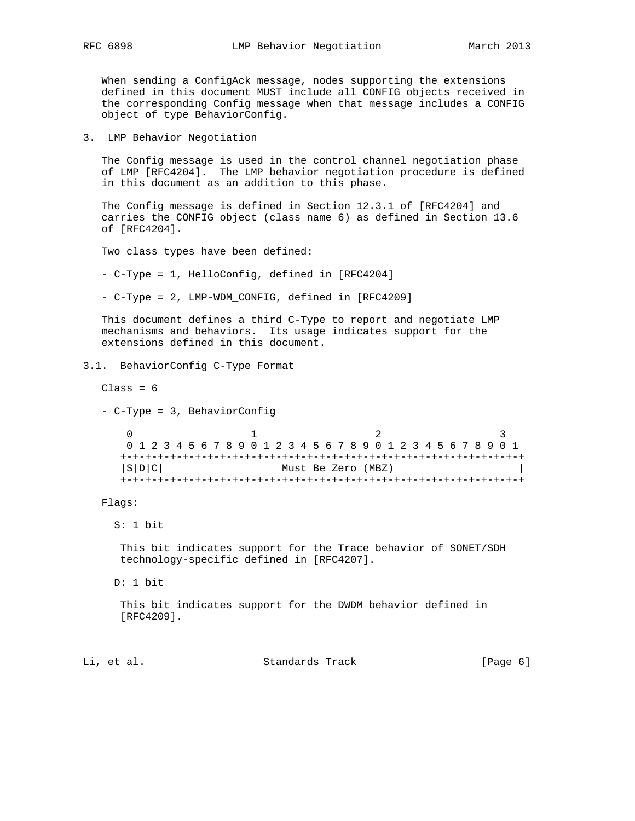When sending a ConfigAck message, nodes supporting the extensions defined in this document MUST include all CONFIG objects received in the corresponding Config message when that message includes a CONFIG object of type BehaviorConfig.

3. LMP Behavior Negotiation

 The Config message is used in the control channel negotiation phase of LMP [RFC4204]. The LMP behavior negotiation procedure is defined in this document as an addition to this phase.

 The Config message is defined in Section 12.3.1 of [RFC4204] and carries the CONFIG object (class name 6) as defined in Section 13.6 of [RFC4204].

Two class types have been defined:

- C-Type = 1, HelloConfig, defined in [RFC4204]

- C-Type = 2, LMP-WDM\_CONFIG, defined in [RFC4209]

 This document defines a third C-Type to report and negotiate LMP mechanisms and behaviors. Its usage indicates support for the extensions defined in this document.

### 3.1. BehaviorConfig C-Type Format

 $Class = 6$ 

- C-Type = 3, BehaviorConfig

 $0$  1 2 3 0 1 2 3 4 5 6 7 8 9 0 1 2 3 4 5 6 7 8 9 0 1 2 3 4 5 6 7 8 9 0 1 +-+-+-+-+-+-+-+-+-+-+-+-+-+-+-+-+-+-+-+-+-+-+-+-+-+-+-+-+-+-+-+-+ |S|D|C| Must Be Zero (MBZ) | +-+-+-+-+-+-+-+-+-+-+-+-+-+-+-+-+-+-+-+-+-+-+-+-+-+-+-+-+-+-+-+-+

Flags:

S: 1 bit

 This bit indicates support for the Trace behavior of SONET/SDH technology-specific defined in [RFC4207].

D: 1 bit

 This bit indicates support for the DWDM behavior defined in [RFC4209].

Li, et al. Standards Track [Page 6]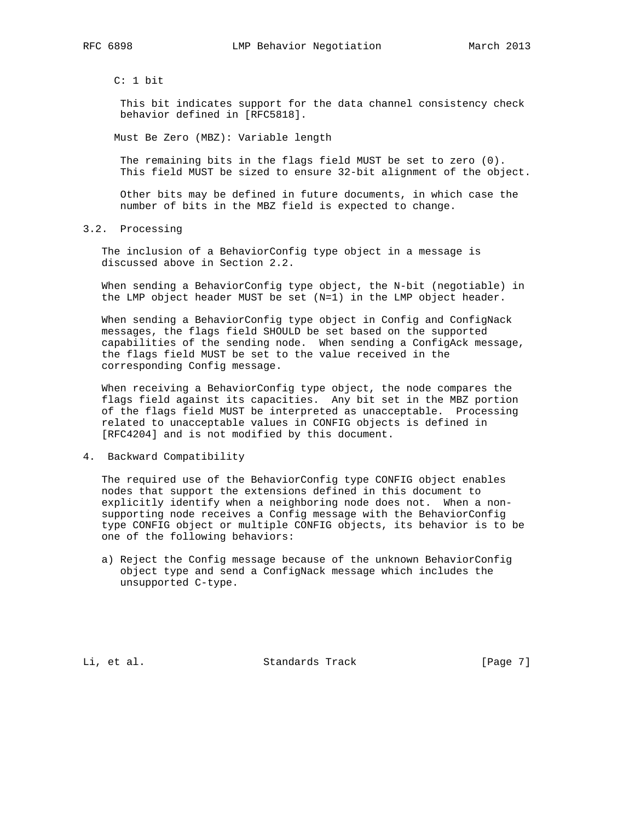C: 1 bit

 This bit indicates support for the data channel consistency check behavior defined in [RFC5818].

Must Be Zero (MBZ): Variable length

 The remaining bits in the flags field MUST be set to zero (0). This field MUST be sized to ensure 32-bit alignment of the object.

 Other bits may be defined in future documents, in which case the number of bits in the MBZ field is expected to change.

3.2. Processing

 The inclusion of a BehaviorConfig type object in a message is discussed above in Section 2.2.

 When sending a BehaviorConfig type object, the N-bit (negotiable) in the LMP object header MUST be set (N=1) in the LMP object header.

When sending a BehaviorConfig type object in Config and ConfigNack messages, the flags field SHOULD be set based on the supported capabilities of the sending node. When sending a ConfigAck message, the flags field MUST be set to the value received in the corresponding Config message.

 When receiving a BehaviorConfig type object, the node compares the flags field against its capacities. Any bit set in the MBZ portion of the flags field MUST be interpreted as unacceptable. Processing related to unacceptable values in CONFIG objects is defined in [RFC4204] and is not modified by this document.

4. Backward Compatibility

 The required use of the BehaviorConfig type CONFIG object enables nodes that support the extensions defined in this document to explicitly identify when a neighboring node does not. When a non supporting node receives a Config message with the BehaviorConfig type CONFIG object or multiple CONFIG objects, its behavior is to be one of the following behaviors:

 a) Reject the Config message because of the unknown BehaviorConfig object type and send a ConfigNack message which includes the unsupported C-type.

Li, et al. Standards Track [Page 7]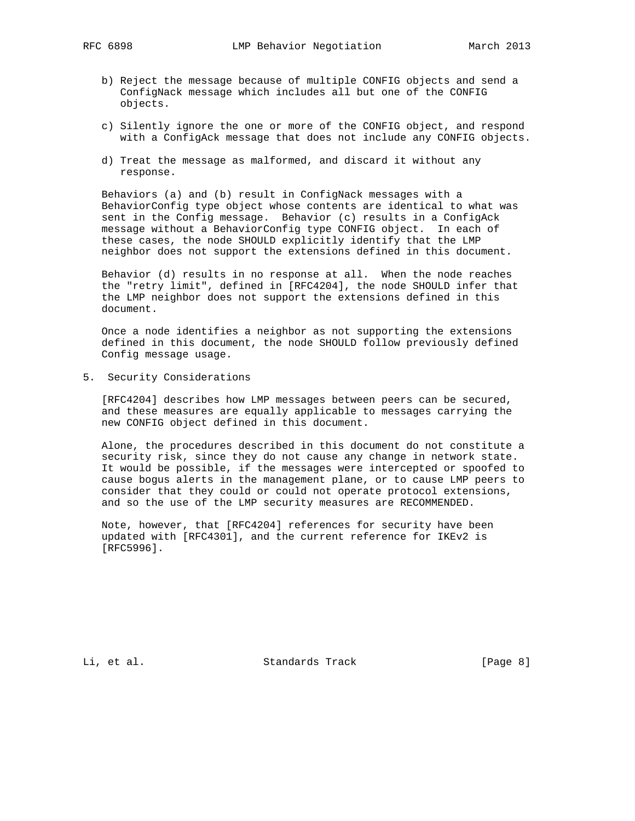- b) Reject the message because of multiple CONFIG objects and send a ConfigNack message which includes all but one of the CONFIG objects.
- c) Silently ignore the one or more of the CONFIG object, and respond with a ConfigAck message that does not include any CONFIG objects.
- d) Treat the message as malformed, and discard it without any response.

 Behaviors (a) and (b) result in ConfigNack messages with a BehaviorConfig type object whose contents are identical to what was sent in the Config message. Behavior (c) results in a ConfigAck message without a BehaviorConfig type CONFIG object. In each of these cases, the node SHOULD explicitly identify that the LMP neighbor does not support the extensions defined in this document.

 Behavior (d) results in no response at all. When the node reaches the "retry limit", defined in [RFC4204], the node SHOULD infer that the LMP neighbor does not support the extensions defined in this document.

 Once a node identifies a neighbor as not supporting the extensions defined in this document, the node SHOULD follow previously defined Config message usage.

5. Security Considerations

 [RFC4204] describes how LMP messages between peers can be secured, and these measures are equally applicable to messages carrying the new CONFIG object defined in this document.

 Alone, the procedures described in this document do not constitute a security risk, since they do not cause any change in network state. It would be possible, if the messages were intercepted or spoofed to cause bogus alerts in the management plane, or to cause LMP peers to consider that they could or could not operate protocol extensions, and so the use of the LMP security measures are RECOMMENDED.

 Note, however, that [RFC4204] references for security have been updated with [RFC4301], and the current reference for IKEv2 is [RFC5996].

Li, et al. Standards Track [Page 8]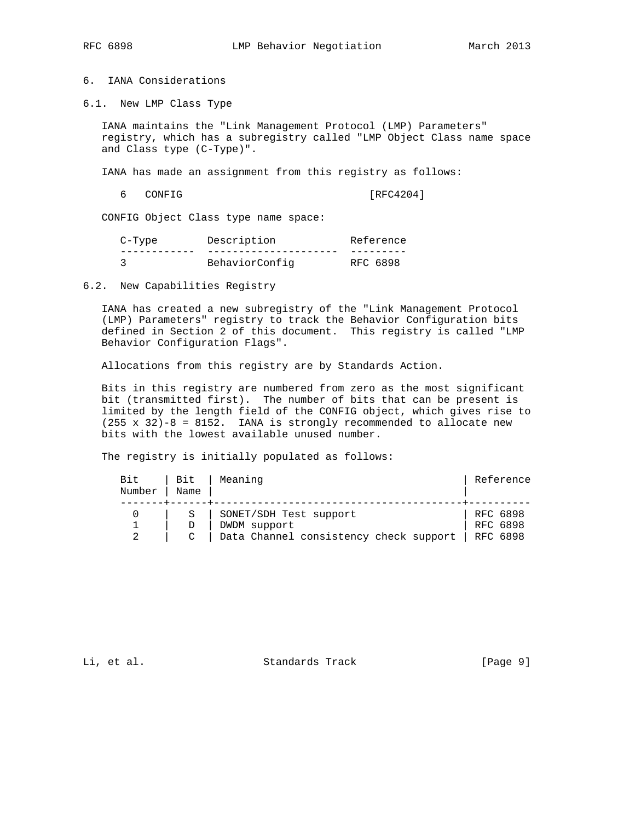# 6. IANA Considerations

6.1. New LMP Class Type

 IANA maintains the "Link Management Protocol (LMP) Parameters" registry, which has a subregistry called "LMP Object Class name space and Class type (C-Type)".

IANA has made an assignment from this registry as follows:

6 CONFIG [RFC4204]

CONFIG Object Class type name space:

| C-Type | Description    | Reference |
|--------|----------------|-----------|
|        |                |           |
|        | BehaviorConfig | RFC 6898  |

6.2. New Capabilities Registry

 IANA has created a new subregistry of the "Link Management Protocol (LMP) Parameters" registry to track the Behavior Configuration bits defined in Section 2 of this document. This registry is called "LMP Behavior Configuration Flags".

Allocations from this registry are by Standards Action.

 Bits in this registry are numbered from zero as the most significant bit (transmitted first). The number of bits that can be present is limited by the length field of the CONFIG object, which gives rise to (255 x 32)-8 = 8152. IANA is strongly recommended to allocate new bits with the lowest available unused number.

The registry is initially populated as follows:

| Bit<br>Number | Bit<br>Name | Meaning                                                                          | Reference                          |
|---------------|-------------|----------------------------------------------------------------------------------|------------------------------------|
|               |             | SONET/SDH Test support<br>DWDM support<br>Data Channel consistency check support | RFC 6898<br>RFC 6898<br>  RFC 6898 |

Li, et al. Standards Track [Page 9]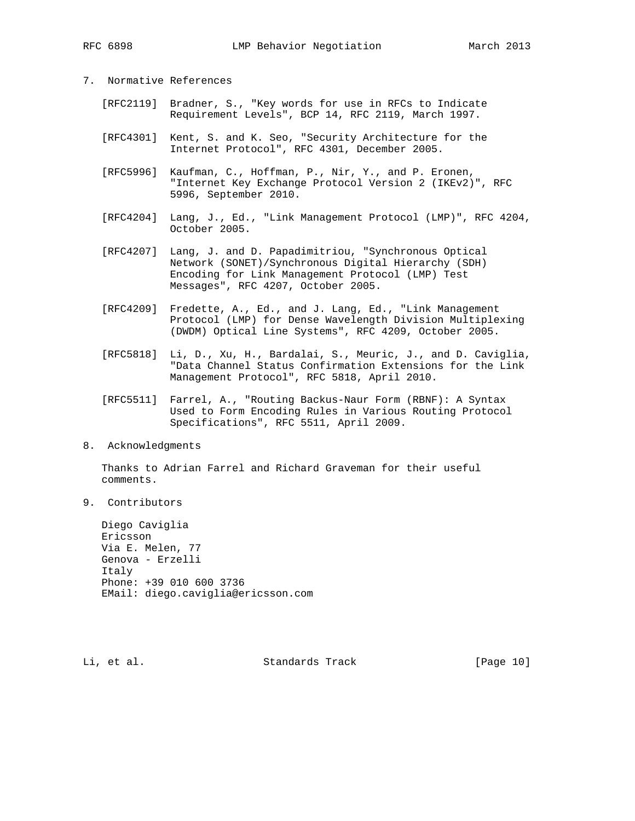# 7. Normative References

- [RFC2119] Bradner, S., "Key words for use in RFCs to Indicate Requirement Levels", BCP 14, RFC 2119, March 1997.
- [RFC4301] Kent, S. and K. Seo, "Security Architecture for the Internet Protocol", RFC 4301, December 2005.
- [RFC5996] Kaufman, C., Hoffman, P., Nir, Y., and P. Eronen, "Internet Key Exchange Protocol Version 2 (IKEv2)", RFC 5996, September 2010.
- [RFC4204] Lang, J., Ed., "Link Management Protocol (LMP)", RFC 4204, October 2005.
- [RFC4207] Lang, J. and D. Papadimitriou, "Synchronous Optical Network (SONET)/Synchronous Digital Hierarchy (SDH) Encoding for Link Management Protocol (LMP) Test Messages", RFC 4207, October 2005.
- [RFC4209] Fredette, A., Ed., and J. Lang, Ed., "Link Management Protocol (LMP) for Dense Wavelength Division Multiplexing (DWDM) Optical Line Systems", RFC 4209, October 2005.
- [RFC5818] Li, D., Xu, H., Bardalai, S., Meuric, J., and D. Caviglia, "Data Channel Status Confirmation Extensions for the Link Management Protocol", RFC 5818, April 2010.
- [RFC5511] Farrel, A., "Routing Backus-Naur Form (RBNF): A Syntax Used to Form Encoding Rules in Various Routing Protocol Specifications", RFC 5511, April 2009.
- 8. Acknowledgments

 Thanks to Adrian Farrel and Richard Graveman for their useful comments.

9. Contributors

 Diego Caviglia Ericsson Via E. Melen, 77 Genova - Erzelli Italy Phone: +39 010 600 3736 EMail: diego.caviglia@ericsson.com

Li, et al. Standards Track [Page 10]